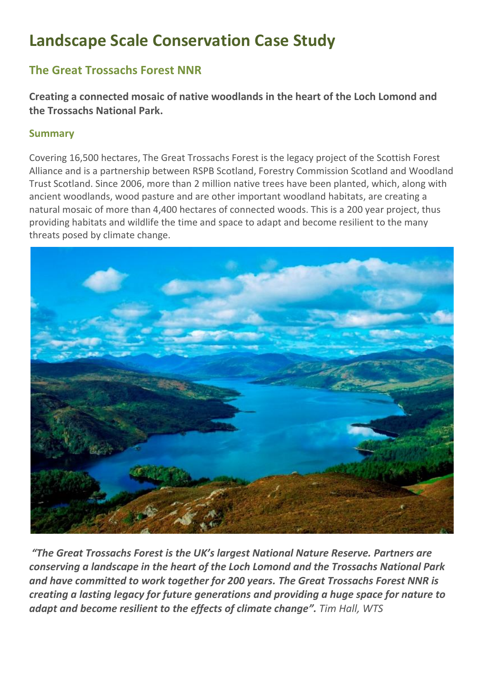# **Landscape Scale Conservation Case Study**

# **The Great Trossachs Forest NNR**

**Creating a connected mosaic of native woodlands in the heart of the Loch Lomond and the Trossachs National Park.**

## **Summary**

Covering 16,500 hectares, The Great Trossachs Forest is the legacy project of the Scottish Forest Alliance and is a partnership between RSPB Scotland, Forestry Commission Scotland and Woodland Trust Scotland. Since 2006, more than 2 million native trees have been planted, which, along with ancient woodlands, wood pasture and are other important woodland habitats, are creating a natural mosaic of more than 4,400 hectares of connected woods. This is a 200 year project, thus providing habitats and wildlife the time and space to adapt and become resilient to the many threats posed by climate change.



*"The Great Trossachs Forest is the UK's largest National Nature Reserve. Partners are conserving a landscape in the heart of the Loch Lomond and the Trossachs National Park and have committed to work together for 200 years. The Great Trossachs Forest NNR is creating a lasting legacy for future generations and providing a huge space for nature to adapt and become resilient to the effects of climate change". Tim Hall, WTS*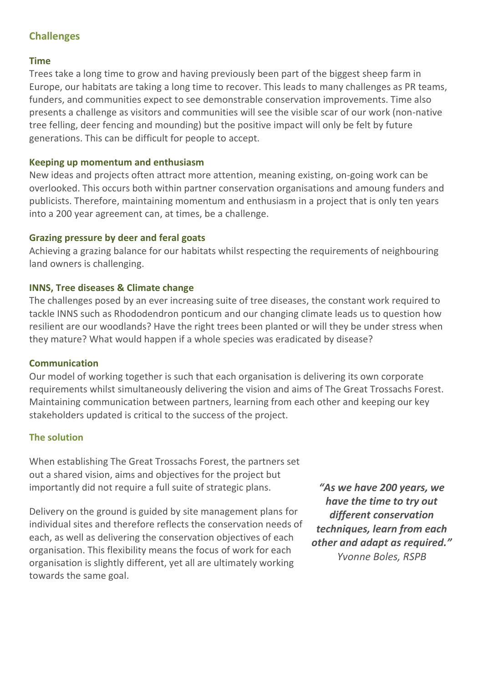# **Challenges**

#### **Time**

Trees take a long time to grow and having previously been part of the biggest sheep farm in Europe, our habitats are taking a long time to recover. This leads to many challenges as PR teams, funders, and communities expect to see demonstrable conservation improvements. Time also presents a challenge as visitors and communities will see the visible scar of our work (non-native tree felling, deer fencing and mounding) but the positive impact will only be felt by future generations. This can be difficult for people to accept.

#### **Keeping up momentum and enthusiasm**

New ideas and projects often attract more attention, meaning existing, on-going work can be overlooked. This occurs both within partner conservation organisations and amoung funders and publicists. Therefore, maintaining momentum and enthusiasm in a project that is only ten years into a 200 year agreement can, at times, be a challenge.

#### **Grazing pressure by deer and feral goats**

Achieving a grazing balance for our habitats whilst respecting the requirements of neighbouring land owners is challenging.

#### **INNS, Tree diseases & Climate change**

The challenges posed by an ever increasing suite of tree diseases, the constant work required to tackle INNS such as Rhododendron ponticum and our changing climate leads us to question how resilient are our woodlands? Have the right trees been planted or will they be under stress when they mature? What would happen if a whole species was eradicated by disease?

#### **Communication**

Our model of working together is such that each organisation is delivering its own corporate requirements whilst simultaneously delivering the vision and aims of The Great Trossachs Forest. Maintaining communication between partners, learning from each other and keeping our key stakeholders updated is critical to the success of the project.

#### **The solution**

When establishing The Great Trossachs Forest, the partners set out a shared vision, aims and objectives for the project but importantly did not require a full suite of strategic plans.

Delivery on the ground is guided by site management plans for individual sites and therefore reflects the conservation needs of each, as well as delivering the conservation objectives of each organisation. This flexibility means the focus of work for each organisation is slightly different, yet all are ultimately working towards the same goal.

*"As we have 200 years, we have the time to try out different conservation techniques, learn from each other and adapt as required." Yvonne Boles, RSPB*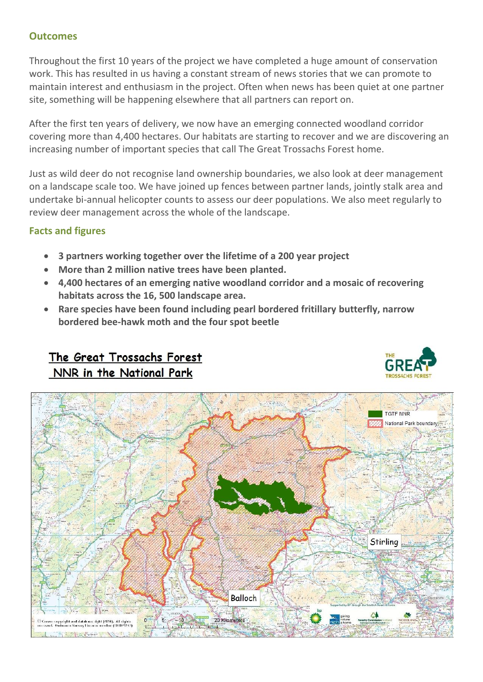### **Outcomes**

Throughout the first 10 years of the project we have completed a huge amount of conservation work. This has resulted in us having a constant stream of news stories that we can promote to maintain interest and enthusiasm in the project. Often when news has been quiet at one partner site, something will be happening elsewhere that all partners can report on.

After the first ten years of delivery, we now have an emerging connected woodland corridor covering more than 4,400 hectares. Our habitats are starting to recover and we are discovering an increasing number of important species that call The Great Trossachs Forest home.

Just as wild deer do not recognise land ownership boundaries, we also look at deer management on a landscape scale too. We have joined up fences between partner lands, jointly stalk area and undertake bi-annual helicopter counts to assess our deer populations. We also meet regularly to review deer management across the whole of the landscape.

## **Facts and figures**

- **3 partners working together over the lifetime of a 200 year project**
- **More than 2 million native trees have been planted.**
- **4,400 hectares of an emerging native woodland corridor and a mosaic of recovering habitats across the 16, 500 landscape area.**
- **Rare species have been found including pearl bordered fritillary butterfly, narrow bordered bee-hawk moth and the four spot beetle**

# The Great Trossachs Forest NNR in the National Park